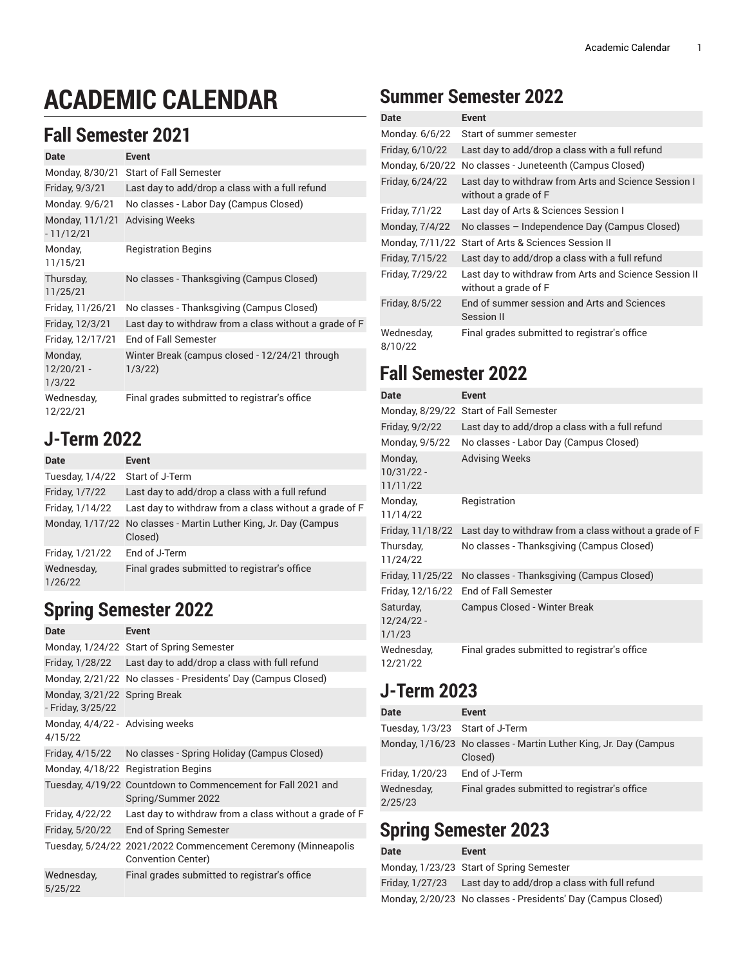# **ACADEMIC CALENDAR**

#### **Fall Semester 2021**

| Date                              | <b>Event</b>                                             |
|-----------------------------------|----------------------------------------------------------|
| Monday, 8/30/21                   | <b>Start of Fall Semester</b>                            |
| Friday, 9/3/21                    | Last day to add/drop a class with a full refund          |
| Monday. 9/6/21                    | No classes - Labor Day (Campus Closed)                   |
| Monday, 11/1/21<br>$-11/12/21$    | <b>Advising Weeks</b>                                    |
| Monday,<br>11/15/21               | <b>Registration Begins</b>                               |
| Thursday,<br>11/25/21             | No classes - Thanksgiving (Campus Closed)                |
| Friday, 11/26/21                  | No classes - Thanksgiving (Campus Closed)                |
| Friday, 12/3/21                   | Last day to withdraw from a class without a grade of F   |
| Friday, 12/17/21                  | <b>End of Fall Semester</b>                              |
| Monday,<br>$12/20/21 -$<br>1/3/22 | Winter Break (campus closed - 12/24/21 through<br>1/3/22 |
| Wednesday,<br>12/22/21            | Final grades submitted to registrar's office             |

#### **J-Term 2022**

| Date                  | <b>Event</b>                                                                |
|-----------------------|-----------------------------------------------------------------------------|
| Tuesday, 1/4/22       | Start of J-Term                                                             |
| Friday, 1/7/22        | Last day to add/drop a class with a full refund                             |
| Friday, 1/14/22       | Last day to withdraw from a class without a grade of F                      |
|                       | Monday, 1/17/22 No classes - Martin Luther King, Jr. Day (Campus<br>Closed) |
| Friday, 1/21/22       | End of J-Term                                                               |
| Wednesday,<br>1/26/22 | Final grades submitted to registrar's office                                |

## **Spring Semester 2022**

| Date                                              | <b>Event</b>                                                                        |
|---------------------------------------------------|-------------------------------------------------------------------------------------|
|                                                   | Monday, 1/24/22 Start of Spring Semester                                            |
|                                                   | Friday, 1/28/22 Last day to add/drop a class with full refund                       |
|                                                   | Monday, 2/21/22 No classes - Presidents' Day (Campus Closed)                        |
| Monday, 3/21/22 Spring Break<br>- Friday, 3/25/22 |                                                                                     |
| Monday, 4/4/22 - Advising weeks<br>4/15/22        |                                                                                     |
|                                                   | Friday, 4/15/22 No classes - Spring Holiday (Campus Closed)                         |
|                                                   | Monday, 4/18/22 Registration Begins                                                 |
|                                                   | Tuesday, 4/19/22 Countdown to Commencement for Fall 2021 and<br>Spring/Summer 2022  |
| Friday, 4/22/22                                   | Last day to withdraw from a class without a grade of F                              |
| Friday, 5/20/22                                   | End of Spring Semester                                                              |
|                                                   | Tuesday, 5/24/22 2021/2022 Commencement Ceremony (Minneapolis<br>Convention Center) |
| Wednesday,<br>5/25/22                             | Final grades submitted to registrar's office                                        |

## **Summer Semester 2022**

| Date                  | <b>Event</b>                                                                  |
|-----------------------|-------------------------------------------------------------------------------|
| Monday. 6/6/22        | Start of summer semester                                                      |
| Friday, 6/10/22       | Last day to add/drop a class with a full refund                               |
| Monday, 6/20/22       | No classes - Juneteenth (Campus Closed)                                       |
| Friday, 6/24/22       | Last day to withdraw from Arts and Science Session I<br>without a grade of F  |
| Friday, 7/1/22        | Last day of Arts & Sciences Session I                                         |
| Monday, 7/4/22        | No classes - Independence Day (Campus Closed)                                 |
| Monday, 7/11/22       | Start of Arts & Sciences Session II                                           |
| Friday, 7/15/22       | Last day to add/drop a class with a full refund                               |
| Friday, 7/29/22       | Last day to withdraw from Arts and Science Session II<br>without a grade of F |
| Friday, 8/5/22        | End of summer session and Arts and Sciences<br>Session II                     |
| Wednesday,<br>8/10/22 | Final grades submitted to registrar's office                                  |

## **Fall Semester 2022**

| Date                                | Event                                                  |
|-------------------------------------|--------------------------------------------------------|
|                                     | Monday, 8/29/22 Start of Fall Semester                 |
| Friday, 9/2/22                      | Last day to add/drop a class with a full refund        |
| Monday, 9/5/22                      | No classes - Labor Day (Campus Closed)                 |
| Monday,<br>$10/31/22 -$<br>11/11/22 | <b>Advising Weeks</b>                                  |
| Monday,<br>11/14/22                 | Registration                                           |
| Friday, 11/18/22                    | Last day to withdraw from a class without a grade of F |
| Thursday,<br>11/24/22               | No classes - Thanksgiving (Campus Closed)              |
| Friday, 11/25/22                    | No classes - Thanksgiving (Campus Closed)              |
| Friday, 12/16/22                    | End of Fall Semester                                   |
| Saturday,<br>12/24/22 -<br>1/1/23   | Campus Closed - Winter Break                           |
| Wednesday,<br>12/21/22              | Final grades submitted to registrar's office           |

## **J-Term 2023**

| Date                            | Event                                                                       |
|---------------------------------|-----------------------------------------------------------------------------|
| Tuesday, 1/3/23 Start of J-Term |                                                                             |
|                                 | Monday, 1/16/23 No classes - Martin Luther King, Jr. Day (Campus<br>Closed) |
| Friday, 1/20/23                 | End of J-Term                                                               |
| Wednesday,<br>2/25/23           | Final grades submitted to registrar's office                                |

# **Spring Semester 2023**

| Date | Event                                                         |
|------|---------------------------------------------------------------|
|      | Monday, 1/23/23 Start of Spring Semester                      |
|      | Friday, 1/27/23 Last day to add/drop a class with full refund |
|      | Monday, 2/20/23 No classes - Presidents' Day (Campus Closed)  |